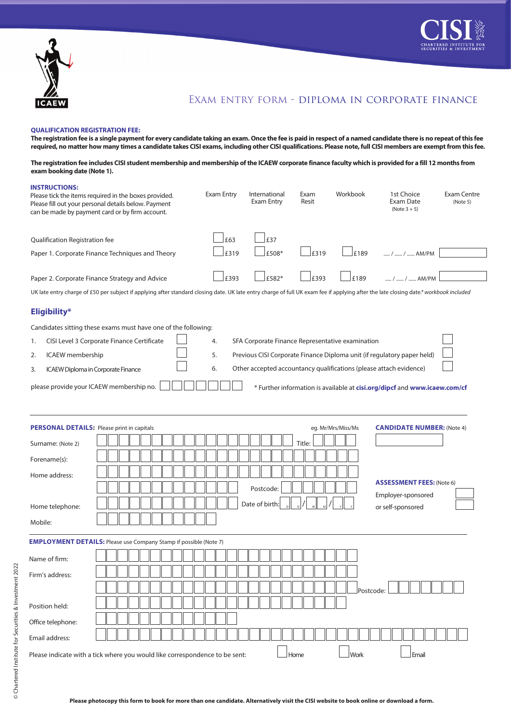



## Exam entry form - diploma in corporate finance

## **QUALIFICATION REGISTRATION FEE:**

**The registration fee is a single payment for every candidate taking an exam. Once the fee is paid in respect of a named candidate there is no repeat of this fee required, no matter how many times a candidate takes CISI exams, including other CISI qualifications. Please note, full CISI members are exempt from this fee.**

**The registration fee includes CISI student membership and membership of the ICAEW corporate finance faculty which is provided for a fill 12 months from exam booking date (Note 1).**

| <b>INSTRUCTIONS:</b>                              | Please tick the items required in the boxes provided.<br>Please fill out your personal details below. Payment<br>can be made by payment card or by firm account.                      | Exam Entry | International<br>Exam Entry                      | Exam<br>Resit | Workbook           | 1st Choice<br>Exam Date<br>$(Note 3 + 5)$                                 | <b>Exam Centre</b><br>(Note 5) |
|---------------------------------------------------|---------------------------------------------------------------------------------------------------------------------------------------------------------------------------------------|------------|--------------------------------------------------|---------------|--------------------|---------------------------------------------------------------------------|--------------------------------|
| Qualification Registration fee                    |                                                                                                                                                                                       | £63        | £37                                              |               |                    |                                                                           |                                |
|                                                   | Paper 1. Corporate Finance Techniques and Theory                                                                                                                                      | £319       | £508*                                            | £319          | £189               | /  /  AM/PM                                                               |                                |
|                                                   | Paper 2. Corporate Finance Strategy and Advice                                                                                                                                        | £393       | £582*                                            | £393          | £189               | /  /  AM/PM                                                               |                                |
|                                                   | UK late entry charge of £50 per subject if applying after standard closing date. UK late entry charge of full UK exam fee if applying after the late closing date.* workbook included |            |                                                  |               |                    |                                                                           |                                |
| Eligibility*                                      |                                                                                                                                                                                       |            |                                                  |               |                    |                                                                           |                                |
|                                                   | Candidates sitting these exams must have one of the following:                                                                                                                        |            |                                                  |               |                    |                                                                           |                                |
| 1.                                                | CISI Level 3 Corporate Finance Certificate                                                                                                                                            | 4.         | SFA Corporate Finance Representative examination |               |                    |                                                                           |                                |
| <b>ICAEW</b> membership<br>2.                     |                                                                                                                                                                                       | 5.         |                                                  |               |                    | Previous CISI Corporate Finance Diploma unit (if regulatory paper held)   |                                |
| 3.                                                | ICAEW Diploma in Corporate Finance                                                                                                                                                    | 6.         |                                                  |               |                    | Other accepted accountancy qualifications (please attach evidence)        |                                |
|                                                   | please provide your ICAEW membership no.                                                                                                                                              |            |                                                  |               |                    | * Further information is available at cisi.org/dipcf and www.icaew.com/cf |                                |
| <b>PERSONAL DETAILS: Please print in capitals</b> |                                                                                                                                                                                       |            |                                                  |               | eg. Mr/Mrs/Miss/Ms | <b>CANDIDATE NUMBER: (Note 4)</b>                                         |                                |
| Surname: (Note 2)                                 |                                                                                                                                                                                       |            |                                                  | Title:        |                    |                                                                           |                                |
| Forename(s):                                      |                                                                                                                                                                                       |            |                                                  |               |                    |                                                                           |                                |
| Home address:                                     |                                                                                                                                                                                       |            | Postcode:                                        |               |                    | <b>ASSESSMENT FEES: (Note 6)</b><br>Employer-sponsored                    |                                |
| Home telephone:                                   |                                                                                                                                                                                       |            | Date of birth:                                   |               |                    | or self-sponsored                                                         |                                |
| Mobile:                                           |                                                                                                                                                                                       |            |                                                  |               |                    |                                                                           |                                |
|                                                   | <b>EMPLOYMENT DETAILS:</b> Please use Company Stamp if possible (Note 7)                                                                                                              |            |                                                  |               |                    |                                                                           |                                |
| Name of firm:                                     |                                                                                                                                                                                       |            |                                                  |               |                    |                                                                           |                                |
| Firm's address:                                   |                                                                                                                                                                                       |            |                                                  |               |                    |                                                                           |                                |
|                                                   |                                                                                                                                                                                       |            |                                                  |               | Postcode:          |                                                                           |                                |
| Position held:                                    |                                                                                                                                                                                       |            |                                                  |               |                    |                                                                           |                                |
| Office telephone:                                 |                                                                                                                                                                                       |            |                                                  |               |                    |                                                                           |                                |
| Email address:                                    |                                                                                                                                                                                       |            |                                                  |               |                    |                                                                           |                                |
|                                                   | Please indicate with a tick where you would like correspondence to be sent:                                                                                                           |            |                                                  | Home          | Work               | Email                                                                     |                                |